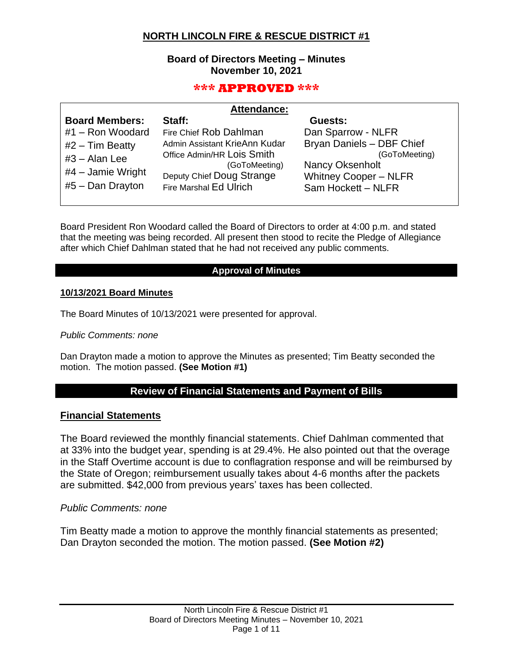# **NORTH LINCOLN FIRE & RESCUE DISTRICT #1**

# **Board of Directors Meeting – Minutes November 10, 2021**

# **\*\*\* APPROVED \*\*\***

| <b>Attendance:</b> |  |
|--------------------|--|
|--------------------|--|

| <b>Board Members:</b> | Staff:                        | Guests:                      |
|-----------------------|-------------------------------|------------------------------|
| #1 - Ron Woodard      | Fire Chief Rob Dahlman        | Dan Sparrow - NLFR           |
| $#2$ – Tim Beatty     | Admin Assistant KrieAnn Kudar | Bryan Daniels - DBF Chief    |
| $#3 - Alan Lee$       | Office Admin/HR Lois Smith    | (GoToMeeting)                |
|                       | (GoToMeeting)                 | <b>Nancy Oksenholt</b>       |
| $#4$ – Jamie Wright   | Deputy Chief Doug Strange     | <b>Whitney Cooper - NLFR</b> |
| $#5 - Dan Draw$       | <b>Fire Marshal Ed Ulrich</b> | Sam Hockett - NLFR           |
|                       |                               |                              |

Board President Ron Woodard called the Board of Directors to order at 4:00 p.m. and stated that the meeting was being recorded. All present then stood to recite the Pledge of Allegiance after which Chief Dahlman stated that he had not received any public comments.

## **Approval of Minutes**

#### **10/13/2021 Board Minutes**

The Board Minutes of 10/13/2021 were presented for approval.

### *Public Comments: none*

Dan Drayton made a motion to approve the Minutes as presented; Tim Beatty seconded the motion. The motion passed. **(See Motion #1)**

# **Review of Financial Statements and Payment of Bills**

## **Financial Statements**

The Board reviewed the monthly financial statements. Chief Dahlman commented that at 33% into the budget year, spending is at 29.4%. He also pointed out that the overage in the Staff Overtime account is due to conflagration response and will be reimbursed by the State of Oregon; reimbursement usually takes about 4-6 months after the packets are submitted. \$42,000 from previous years' taxes has been collected.

## *Public Comments: none*

Tim Beatty made a motion to approve the monthly financial statements as presented; Dan Drayton seconded the motion. The motion passed. **(See Motion #2)**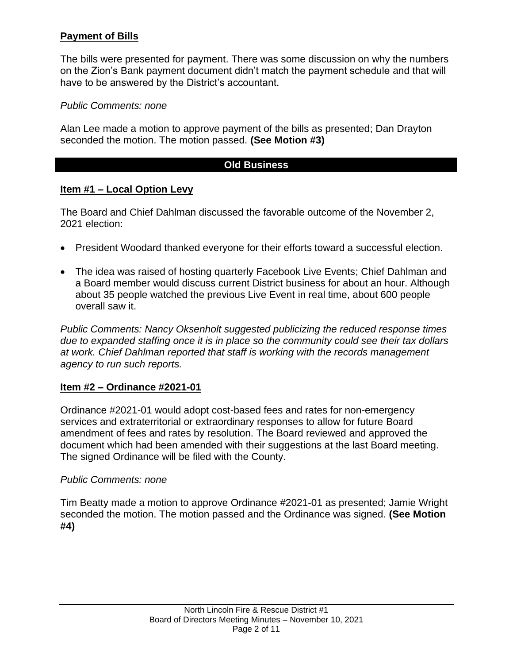# **Payment of Bills**

The bills were presented for payment. There was some discussion on why the numbers on the Zion's Bank payment document didn't match the payment schedule and that will have to be answered by the District's accountant.

# *Public Comments: none*

Alan Lee made a motion to approve payment of the bills as presented; Dan Drayton seconded the motion. The motion passed. **(See Motion #3)**

# **Old Business**

# **Item #1 – Local Option Levy**

The Board and Chief Dahlman discussed the favorable outcome of the November 2, 2021 election:

- President Woodard thanked everyone for their efforts toward a successful election.
- The idea was raised of hosting quarterly Facebook Live Events; Chief Dahlman and a Board member would discuss current District business for about an hour. Although about 35 people watched the previous Live Event in real time, about 600 people overall saw it.

*Public Comments: Nancy Oksenholt suggested publicizing the reduced response times due to expanded staffing once it is in place so the community could see their tax dollars at work. Chief Dahlman reported that staff is working with the records management agency to run such reports.*

# **Item #2 – Ordinance #2021-01**

Ordinance #2021-01 would adopt cost-based fees and rates for non-emergency services and extraterritorial or extraordinary responses to allow for future Board amendment of fees and rates by resolution. The Board reviewed and approved the document which had been amended with their suggestions at the last Board meeting. The signed Ordinance will be filed with the County.

# *Public Comments: none*

Tim Beatty made a motion to approve Ordinance #2021-01 as presented; Jamie Wright seconded the motion. The motion passed and the Ordinance was signed. **(See Motion #4)**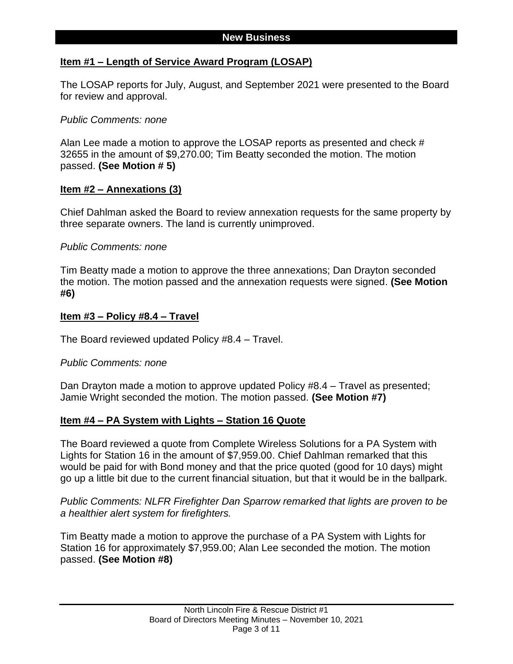## **Item #1 – Length of Service Award Program (LOSAP)**

The LOSAP reports for July, August, and September 2021 were presented to the Board for review and approval.

## *Public Comments: none*

Alan Lee made a motion to approve the LOSAP reports as presented and check # 32655 in the amount of \$9,270.00; Tim Beatty seconded the motion. The motion passed. **(See Motion # 5)** 

## **Item #2 – Annexations (3)**

Chief Dahlman asked the Board to review annexation requests for the same property by three separate owners. The land is currently unimproved.

## *Public Comments: none*

Tim Beatty made a motion to approve the three annexations; Dan Drayton seconded the motion. The motion passed and the annexation requests were signed. **(See Motion #6)**

## **Item #3 – Policy #8.4 – Travel**

The Board reviewed updated Policy #8.4 – Travel.

## *Public Comments: none*

Dan Drayton made a motion to approve updated Policy #8.4 – Travel as presented; Jamie Wright seconded the motion. The motion passed. **(See Motion #7)**

## **Item #4 – PA System with Lights – Station 16 Quote**

The Board reviewed a quote from Complete Wireless Solutions for a PA System with Lights for Station 16 in the amount of \$7,959.00. Chief Dahlman remarked that this would be paid for with Bond money and that the price quoted (good for 10 days) might go up a little bit due to the current financial situation, but that it would be in the ballpark.

*Public Comments: NLFR Firefighter Dan Sparrow remarked that lights are proven to be a healthier alert system for firefighters.*

Tim Beatty made a motion to approve the purchase of a PA System with Lights for Station 16 for approximately \$7,959.00; Alan Lee seconded the motion. The motion passed. **(See Motion #8)**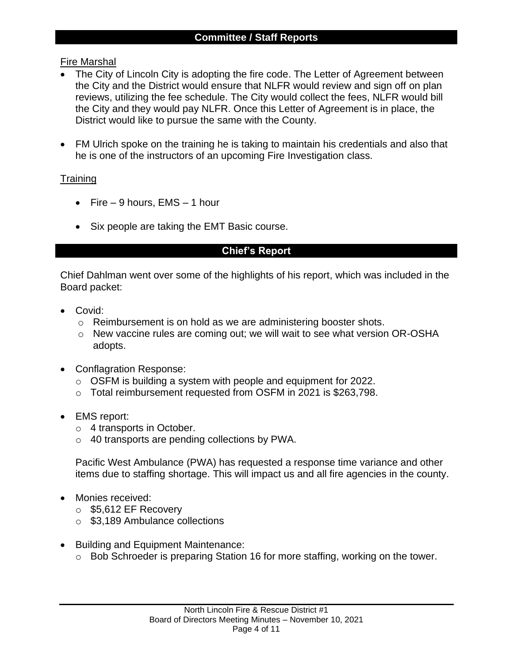# Fire Marshal

- The City of Lincoln City is adopting the fire code. The Letter of Agreement between the City and the District would ensure that NLFR would review and sign off on plan reviews, utilizing the fee schedule. The City would collect the fees, NLFR would bill the City and they would pay NLFR. Once this Letter of Agreement is in place, the District would like to pursue the same with the County.
- FM Ulrich spoke on the training he is taking to maintain his credentials and also that he is one of the instructors of an upcoming Fire Investigation class.

# **Training**

- Fire  $-9$  hours, EMS  $-1$  hour
- Six people are taking the EMT Basic course.

# **Chief's Report**

Chief Dahlman went over some of the highlights of his report, which was included in the Board packet:

- Covid:
	- o Reimbursement is on hold as we are administering booster shots.
	- o New vaccine rules are coming out; we will wait to see what version OR-OSHA adopts.
- Conflagration Response:
	- o OSFM is building a system with people and equipment for 2022.
	- o Total reimbursement requested from OSFM in 2021 is \$263,798.
- EMS report:
	- o 4 transports in October.
	- o 40 transports are pending collections by PWA.

Pacific West Ambulance (PWA) has requested a response time variance and other items due to staffing shortage. This will impact us and all fire agencies in the county.

- Monies received:
	- o \$5,612 EF Recovery
	- o \$3,189 Ambulance collections
- Building and Equipment Maintenance:
	- o Bob Schroeder is preparing Station 16 for more staffing, working on the tower.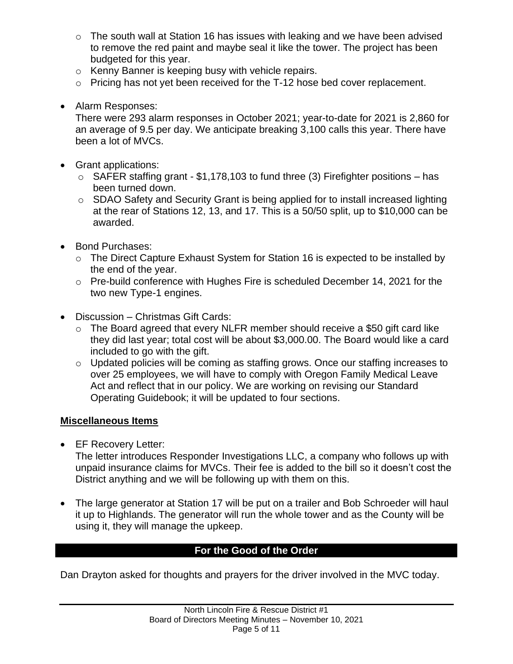- o The south wall at Station 16 has issues with leaking and we have been advised to remove the red paint and maybe seal it like the tower. The project has been budgeted for this year.
- o Kenny Banner is keeping busy with vehicle repairs.
- o Pricing has not yet been received for the T-12 hose bed cover replacement.
- Alarm Responses:

There were 293 alarm responses in October 2021; year-to-date for 2021 is 2,860 for an average of 9.5 per day. We anticipate breaking 3,100 calls this year. There have been a lot of MVCs.

- Grant applications:
	- $\circ$  SAFER staffing grant \$1,178,103 to fund three (3) Firefighter positions has been turned down.
	- o SDAO Safety and Security Grant is being applied for to install increased lighting at the rear of Stations 12, 13, and 17. This is a 50/50 split, up to \$10,000 can be awarded.
- Bond Purchases:
	- o The Direct Capture Exhaust System for Station 16 is expected to be installed by the end of the year.
	- o Pre-build conference with Hughes Fire is scheduled December 14, 2021 for the two new Type-1 engines.
- Discussion Christmas Gift Cards:
	- o The Board agreed that every NLFR member should receive a \$50 gift card like they did last year; total cost will be about \$3,000.00. The Board would like a card included to go with the gift.
	- o Updated policies will be coming as staffing grows. Once our staffing increases to over 25 employees, we will have to comply with Oregon Family Medical Leave Act and reflect that in our policy. We are working on revising our Standard Operating Guidebook; it will be updated to four sections.

# **Miscellaneous Items**

• EF Recovery Letter:

The letter introduces Responder Investigations LLC, a company who follows up with unpaid insurance claims for MVCs. Their fee is added to the bill so it doesn't cost the District anything and we will be following up with them on this.

• The large generator at Station 17 will be put on a trailer and Bob Schroeder will haul it up to Highlands. The generator will run the whole tower and as the County will be using it, they will manage the upkeep.

# **For the Good of the Order**

Dan Drayton asked for thoughts and prayers for the driver involved in the MVC today.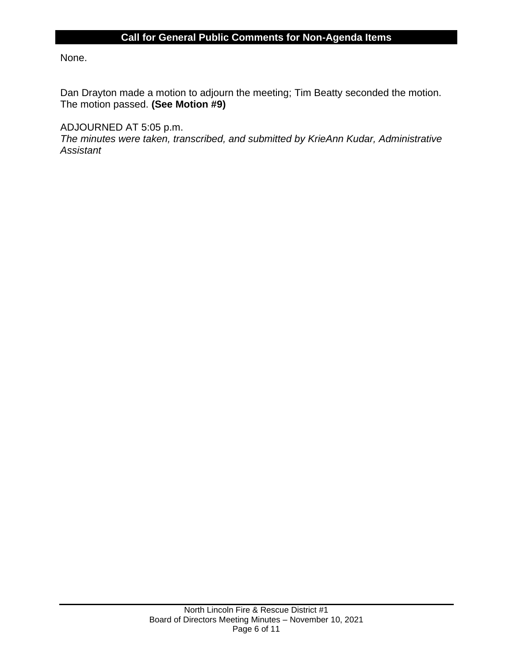# **Call for General Public Comments for Non-Agenda Items**

None.

Dan Drayton made a motion to adjourn the meeting; Tim Beatty seconded the motion. The motion passed. **(See Motion #9)**

ADJOURNED AT 5:05 p.m.

*The minutes were taken, transcribed, and submitted by KrieAnn Kudar, Administrative Assistant*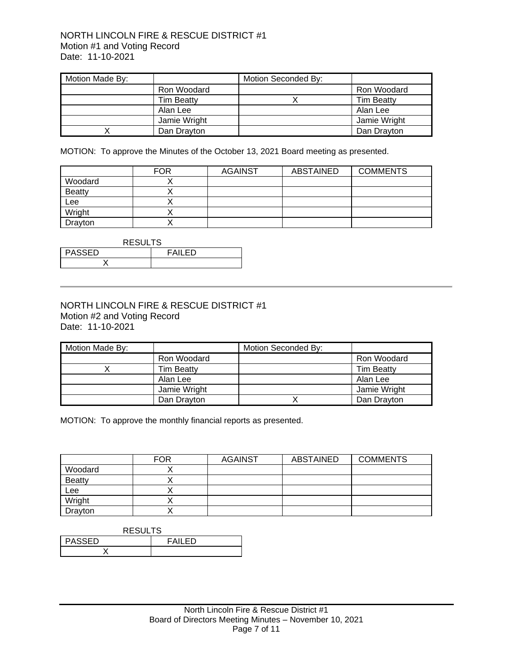## NORTH LINCOLN FIRE & RESCUE DISTRICT #1 Motion #1 and Voting Record Date: 11-10-2021

| Motion Made By: |                   | Motion Seconded By: |                   |
|-----------------|-------------------|---------------------|-------------------|
|                 | Ron Woodard       |                     | Ron Woodard       |
|                 | <b>Tim Beatty</b> |                     | <b>Tim Beatty</b> |
|                 | Alan Lee          |                     | Alan Lee          |
|                 | Jamie Wright      |                     | Jamie Wright      |
|                 | Dan Drayton       |                     | Dan Drayton       |

MOTION: To approve the Minutes of the October 13, 2021 Board meeting as presented.

|               | <b>FOR</b> | <b>AGAINST</b> | <b>ABSTAINED</b> | <b>COMMENTS</b> |
|---------------|------------|----------------|------------------|-----------------|
| Woodard       |            |                |                  |                 |
| <b>Beatty</b> |            |                |                  |                 |
| Lee           |            |                |                  |                 |
| Wright        |            |                |                  |                 |
| Drayton       |            |                |                  |                 |

| <b>RESULTS</b>                 |  |  |  |
|--------------------------------|--|--|--|
| <b>PASSED</b><br><b>FAILED</b> |  |  |  |
|                                |  |  |  |

## NORTH LINCOLN FIRE & RESCUE DISTRICT #1 Motion #2 and Voting Record Date: 11-10-2021

| Motion Made By: |                   | Motion Seconded By: |                   |
|-----------------|-------------------|---------------------|-------------------|
|                 | Ron Woodard       |                     | Ron Woodard       |
|                 | <b>Tim Beatty</b> |                     | <b>Tim Beatty</b> |
|                 | Alan Lee          |                     | Alan Lee          |
|                 | Jamie Wright      |                     | Jamie Wright      |
|                 | Dan Drayton       |                     | Dan Drayton       |

MOTION: To approve the monthly financial reports as presented.

|               | <b>FOR</b> | <b>AGAINST</b> | <b>ABSTAINED</b> | <b>COMMENTS</b> |
|---------------|------------|----------------|------------------|-----------------|
| Woodard       |            |                |                  |                 |
| <b>Beatty</b> |            |                |                  |                 |
| Lee           |            |                |                  |                 |
| Wright        |            |                |                  |                 |
| Drayton       |            |                |                  |                 |

| <b>RESULTS</b>           |  |  |  |
|--------------------------|--|--|--|
| <b>PASSED</b><br>FAII FD |  |  |  |
|                          |  |  |  |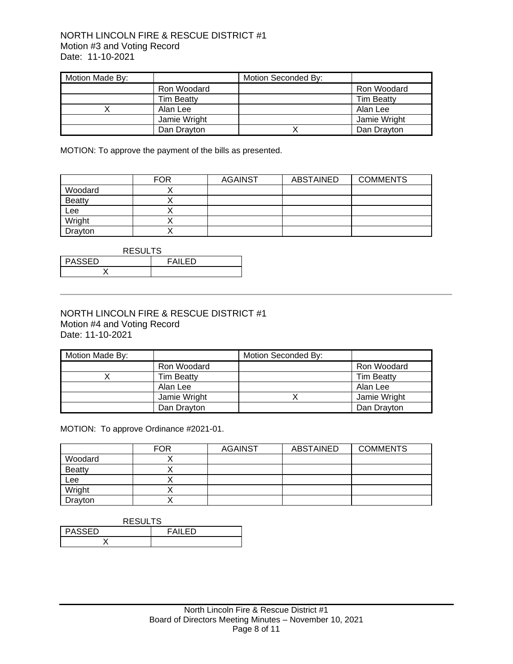## NORTH LINCOLN FIRE & RESCUE DISTRICT #1 Motion #3 and Voting Record Date: 11-10-2021

| Motion Made By: |                   | Motion Seconded By: |                   |
|-----------------|-------------------|---------------------|-------------------|
|                 | Ron Woodard       |                     | Ron Woodard       |
|                 | <b>Tim Beatty</b> |                     | <b>Tim Beatty</b> |
|                 | Alan Lee          |                     | Alan Lee          |
|                 | Jamie Wright      |                     | Jamie Wright      |
|                 | Dan Drayton       |                     | Dan Drayton       |

MOTION: To approve the payment of the bills as presented.

|               | <b>FOR</b> | <b>AGAINST</b> | ABSTAINED | <b>COMMENTS</b> |
|---------------|------------|----------------|-----------|-----------------|
| Woodard       |            |                |           |                 |
| <b>Beatty</b> |            |                |           |                 |
| Lee           |            |                |           |                 |
| Wright        |            |                |           |                 |
| Drayton       |            |                |           |                 |

| <b>RESULTS</b>                 |  |  |  |
|--------------------------------|--|--|--|
| <b>PASSED</b><br><b>FAILED</b> |  |  |  |
|                                |  |  |  |

#### NORTH LINCOLN FIRE & RESCUE DISTRICT #1 Motion #4 and Voting Record Date: 11-10-2021

| Motion Made By: |                   | Motion Seconded By: |                   |
|-----------------|-------------------|---------------------|-------------------|
|                 | Ron Woodard       |                     | Ron Woodard       |
|                 | <b>Tim Beatty</b> |                     | <b>Tim Beatty</b> |
|                 | Alan Lee          |                     | Alan Lee          |
|                 | Jamie Wright      |                     | Jamie Wright      |
|                 | Dan Drayton       |                     | Dan Drayton       |

MOTION: To approve Ordinance #2021-01.

|               | <b>FOR</b> | <b>AGAINST</b> | <b>ABSTAINED</b> | <b>COMMENTS</b> |
|---------------|------------|----------------|------------------|-----------------|
| Woodard       |            |                |                  |                 |
| <b>Beatty</b> |            |                |                  |                 |
| Lee           |            |                |                  |                 |
| Wright        |            |                |                  |                 |
| Drayton       |            |                |                  |                 |

| <b>RESULTS</b>                 |  |  |  |
|--------------------------------|--|--|--|
| <b>PASSED</b><br><b>FAILED</b> |  |  |  |
|                                |  |  |  |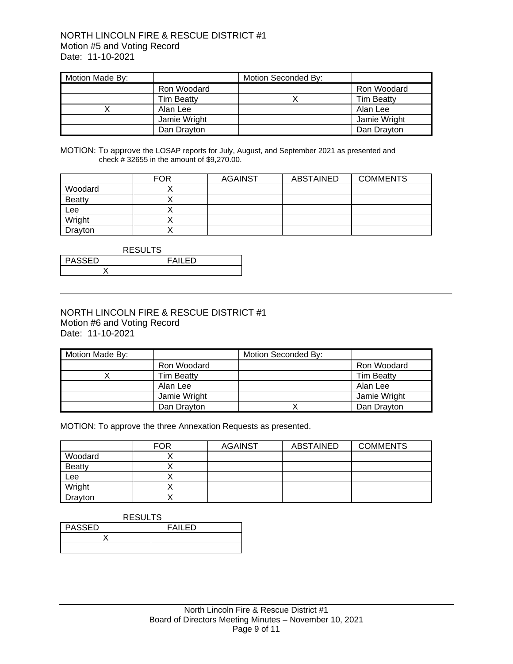### NORTH LINCOLN FIRE & RESCUE DISTRICT #1 Motion #5 and Voting Record Date: 11-10-2021

| Motion Made By: |                   | Motion Seconded By: |                   |
|-----------------|-------------------|---------------------|-------------------|
|                 | Ron Woodard       |                     | Ron Woodard       |
|                 | <b>Tim Beatty</b> |                     | <b>Tim Beatty</b> |
|                 | Alan Lee          |                     | Alan Lee          |
|                 | Jamie Wright      |                     | Jamie Wright      |
|                 | Dan Drayton       |                     | Dan Drayton       |

MOTION: To approve the LOSAP reports for July, August, and September 2021 as presented and check # 32655 in the amount of \$9,270.00.

|               | <b>FOR</b> | <b>AGAINST</b> | ABSTAINED | <b>COMMENTS</b> |
|---------------|------------|----------------|-----------|-----------------|
| Woodard       |            |                |           |                 |
| <b>Beatty</b> |            |                |           |                 |
| Lee           |            |                |           |                 |
| Wright        |            |                |           |                 |
| Drayton       |            |                |           |                 |

| <b>RESULTS</b>                 |  |  |  |
|--------------------------------|--|--|--|
| <b>PASSED</b><br><b>FAILED</b> |  |  |  |
|                                |  |  |  |

#### NORTH LINCOLN FIRE & RESCUE DISTRICT #1 Motion #6 and Voting Record Date: 11-10-2021

| Motion Made By: |                   | Motion Seconded By: |                   |
|-----------------|-------------------|---------------------|-------------------|
|                 | Ron Woodard       |                     | Ron Woodard       |
|                 | <b>Tim Beatty</b> |                     | <b>Tim Beatty</b> |
|                 | Alan Lee          |                     | Alan Lee          |
|                 | Jamie Wright      |                     | Jamie Wright      |
|                 | Dan Drayton       |                     | Dan Drayton       |

MOTION: To approve the three Annexation Requests as presented.

|               | <b>FOR</b> | <b>AGAINST</b> | <b>ABSTAINED</b> | <b>COMMENTS</b> |
|---------------|------------|----------------|------------------|-----------------|
| Woodard       |            |                |                  |                 |
| <b>Beatty</b> |            |                |                  |                 |
| Lee           |            |                |                  |                 |
| Wright        |            |                |                  |                 |
| Drayton       |            |                |                  |                 |

| <b>RESULTS</b> |        |  |  |  |
|----------------|--------|--|--|--|
| <b>PASSED</b>  | FAILED |  |  |  |
|                |        |  |  |  |
|                |        |  |  |  |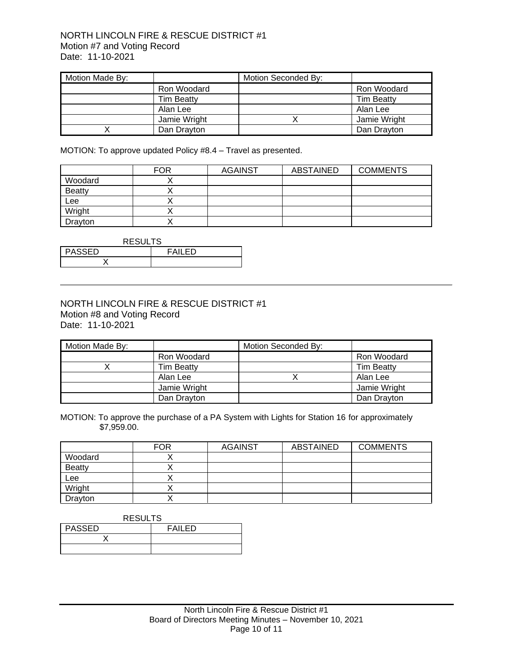## NORTH LINCOLN FIRE & RESCUE DISTRICT #1 Motion #7 and Voting Record Date: 11-10-2021

| Motion Made By: |                   | Motion Seconded By: |                   |
|-----------------|-------------------|---------------------|-------------------|
|                 | Ron Woodard       |                     | Ron Woodard       |
|                 | <b>Tim Beatty</b> |                     | <b>Tim Beatty</b> |
|                 | Alan Lee          |                     | Alan Lee          |
|                 | Jamie Wright      |                     | Jamie Wright      |
|                 | Dan Drayton       |                     | Dan Drayton       |

MOTION: To approve updated Policy #8.4 – Travel as presented.

|               | <b>FOR</b> | <b>AGAINST</b> | <b>ABSTAINED</b> | <b>COMMENTS</b> |
|---------------|------------|----------------|------------------|-----------------|
| Woodard       |            |                |                  |                 |
| <b>Beatty</b> |            |                |                  |                 |
| Lee           |            |                |                  |                 |
| Wright        |            |                |                  |                 |
| Drayton       |            |                |                  |                 |

| <b>RESULTS</b>           |  |  |  |
|--------------------------|--|--|--|
| <b>PASSED</b><br>FAII FD |  |  |  |
|                          |  |  |  |

### NORTH LINCOLN FIRE & RESCUE DISTRICT #1 Motion #8 and Voting Record Date: 11-10-2021

| Motion Made By: |                   | Motion Seconded By: |                   |
|-----------------|-------------------|---------------------|-------------------|
|                 | Ron Woodard       |                     | Ron Woodard       |
|                 | <b>Tim Beatty</b> |                     | <b>Tim Beatty</b> |
|                 | Alan Lee          |                     | Alan Lee          |
|                 | Jamie Wright      |                     | Jamie Wright      |
|                 | Dan Drayton       |                     | Dan Drayton       |

MOTION: To approve the purchase of a PA System with Lights for Station 16 for approximately \$7,959.00.

|               | <b>FOR</b> | <b>AGAINST</b> | <b>ABSTAINED</b> | <b>COMMENTS</b> |
|---------------|------------|----------------|------------------|-----------------|
| Woodard       |            |                |                  |                 |
| <b>Beatty</b> |            |                |                  |                 |
| Lee           |            |                |                  |                 |
| Wright        |            |                |                  |                 |
| Drayton       |            |                |                  |                 |

| <b>RESULTS</b> |        |  |  |  |
|----------------|--------|--|--|--|
| PASSED         | FAILED |  |  |  |
|                |        |  |  |  |
|                |        |  |  |  |